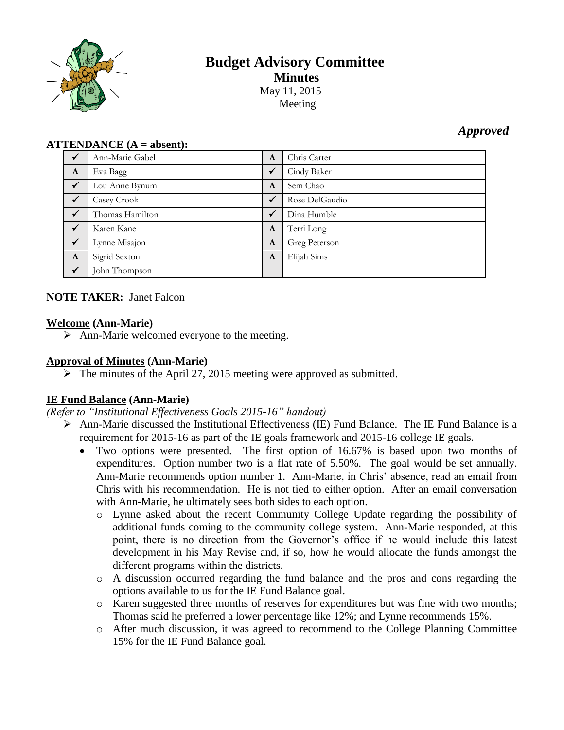

# **Budget Advisory Committee Minutes** May 11, 2015

Meeting

# *Approved*

#### **ATTENDANCE (A = absent):**

| $\checkmark$ | Ann-Marie Gabel | A            | Chris Carter   |
|--------------|-----------------|--------------|----------------|
| $\mathbf{A}$ | Eva Bagg        | $\checkmark$ | Cindy Baker    |
| $\sqrt{}$    | Lou Anne Bynum  | $\mathbf{A}$ | Sem Chao       |
| $\checkmark$ | Casey Crook     | $\checkmark$ | Rose DelGaudio |
| $\checkmark$ | Thomas Hamilton | $\checkmark$ | Dina Humble    |
| $\checkmark$ | Karen Kane      | A            | Terri Long     |
| $\sqrt{ }$   | Lynne Misajon   | A            | Greg Peterson  |
| $\mathbf{A}$ | Sigrid Sexton   | A            | Elijah Sims    |
| $\checkmark$ | John Thompson   |              |                |

## **NOTE TAKER:** Janet Falcon

#### **Welcome (Ann-Marie)**

 $\triangleright$  Ann-Marie welcomed everyone to the meeting.

#### **Approval of Minutes (Ann-Marie)**

 $\triangleright$  The minutes of the April 27, 2015 meeting were approved as submitted.

## **IE Fund Balance (Ann-Marie)**

*(Refer to "Institutional Effectiveness Goals 2015-16" handout)*

- Ann-Marie discussed the Institutional Effectiveness (IE) Fund Balance. The IE Fund Balance is a requirement for 2015-16 as part of the IE goals framework and 2015-16 college IE goals.
	- Two options were presented. The first option of 16.67% is based upon two months of expenditures. Option number two is a flat rate of 5.50%. The goal would be set annually. Ann-Marie recommends option number 1. Ann-Marie, in Chris' absence, read an email from Chris with his recommendation. He is not tied to either option. After an email conversation with Ann-Marie, he ultimately sees both sides to each option.
		- o Lynne asked about the recent Community College Update regarding the possibility of additional funds coming to the community college system. Ann-Marie responded, at this point, there is no direction from the Governor's office if he would include this latest development in his May Revise and, if so, how he would allocate the funds amongst the different programs within the districts.
		- o A discussion occurred regarding the fund balance and the pros and cons regarding the options available to us for the IE Fund Balance goal.
		- o Karen suggested three months of reserves for expenditures but was fine with two months; Thomas said he preferred a lower percentage like 12%; and Lynne recommends 15%.
		- o After much discussion, it was agreed to recommend to the College Planning Committee 15% for the IE Fund Balance goal.